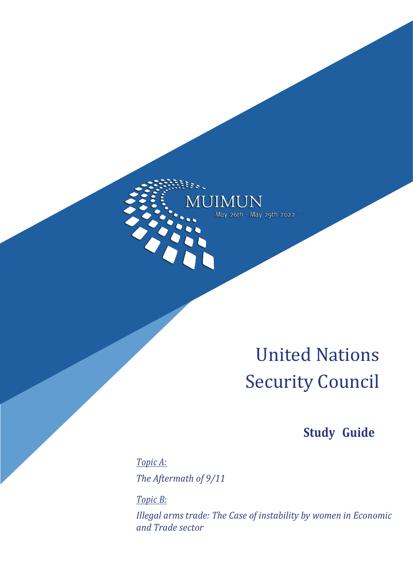JIMUN May 26th - May 29th 2022

Essi.

# United Nations Security Council

# **Study Guide**

*Topic A: The Aftermath of 9/11*

*Topic B:*

*Illegal arms trade: The Case of instability by women in Economic and Trade sector*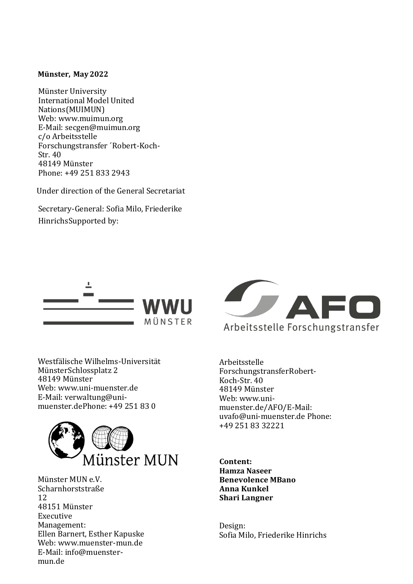#### **Münster, May2022**

Münster University International Model United Nations(MUIMUN) Web: [www.muimun.org](http://www.muimun.org/) E-Mail: [secgen@muimun.org](mailto:secgen@muimun.org) c/o Arbeitsstelle Forschungstransfer ´Robert-Koch-Str. 40 48149 Münster Phone: +49 251 833 2943

Under direction of the General Secretariat

Secretary-General: Sofia Milo, Friederike HinrichsSupported by:



Westfälische Wilhelms-Universität MünsterSchlossplatz 2 48149 Münster Web: [www.uni-muenster.de](http://www.uni-muenster.de/) E-Mail: [verwaltung@uni](mailto:verwaltung@uni-muenster.de)[muenster.deP](mailto:verwaltung@uni-muenster.de)hone: +49 251 83 0



Münster MUN e.V. Scharnhorststraße 12 48151 Münster Executive Management: Ellen Barnert, Esther Kapuske Web: [www.muenster-mun.de](http://www.muenster-mun.de/) E-Mail: [info@muenster](mailto:info@muenster-mun.de)[mun.de](mailto:info@muenster-mun.de)



Arbeitsstelle ForschungstransferRobert-Koch-Str. 40 48149 Münster Web: [www.uni](http://www.uni-muenster.de/AFO/)[muenster.de/AFO/E](http://www.uni-muenster.de/AFO/)-Mail: [uvafo@uni-muenster.de](mailto:uvafo@uni-muenster.de) Phone: +49 251 83 32221

**Content: Hamza Naseer Benevolence MBano Anna Kunkel Shari Langner**

Design: Sofia Milo, Friederike Hinrichs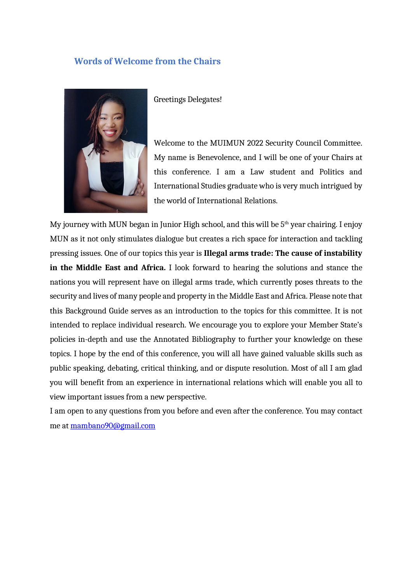#### **Words of Welcome from the Chairs**



Greetings Delegates!

Welcome to the MUIMUN 2022 Security Council Committee. My name is Benevolence, and I will be one of your Chairs at this conference. I am a Law student and Politics and International Studies graduate who is very much intrigued by the world of International Relations.

My journey with MUN began in Junior High school, and this will be  $5<sup>th</sup>$  year chairing. I enjoy MUN as it not only stimulates dialogue but creates a rich space for interaction and tackling pressing issues. One of our topics this year is **Illegal arms trade: The cause of instability in the Middle East and Africa.** I look forward to hearing the solutions and stance the nations you will represent have on illegal arms trade, which currently poses threats to the security and lives of many people and property in the Middle East and Africa. Please note that this Background Guide serves as an introduction to the topics for this committee. It is not intended to replace individual research. We encourage you to explore your Member State's policies in-depth and use the Annotated Bibliography to further your knowledge on these topics. I hope by the end of this conference, you will all have gained valuable skills such as public speaking, debating, critical thinking, and or dispute resolution. Most of all I am glad you will benefit from an experience in international relations which will enable you all to view important issues from a new perspective.

I am open to any questions from you before and even after the conference. You may contact me at mambano90@gmail.com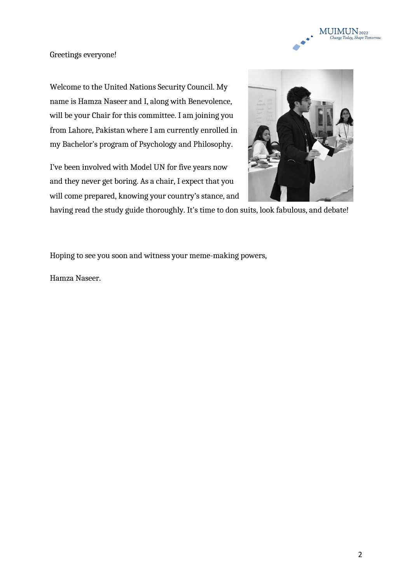

Greetings everyone!

Welcome to the United Nations Security Council. My name is Hamza Naseer and I, along with Benevolence, will be your Chair for this committee. I am joining you from Lahore, Pakistan where I am currently enrolled in my Bachelor's program of Psychology and Philosophy.

I've been involved with Model UN for five years now and they never get boring. As a chair, I expect that you will come prepared, knowing your country's stance, and



having read the study guide thoroughly. It's time to don suits, look fabulous, and debate!

Hoping to see you soon and witness your meme-making powers,

Hamza Naseer.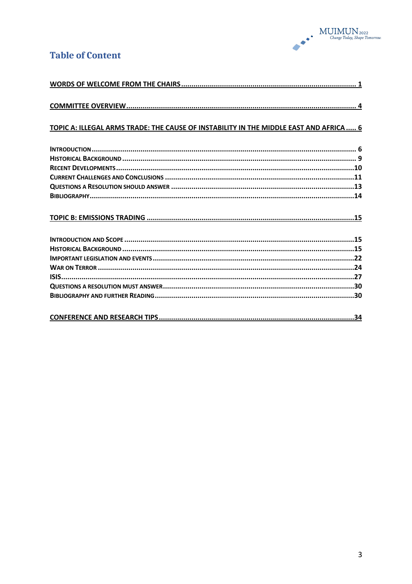

# **Table of Content**

| TOPIC A: ILLEGAL ARMS TRADE: THE CAUSE OF INSTABILITY IN THE MIDDLE EAST AND AFRICA  6 |
|----------------------------------------------------------------------------------------|
|                                                                                        |
|                                                                                        |
|                                                                                        |
|                                                                                        |
|                                                                                        |
|                                                                                        |
|                                                                                        |
|                                                                                        |
|                                                                                        |
|                                                                                        |
|                                                                                        |
|                                                                                        |
|                                                                                        |
|                                                                                        |
|                                                                                        |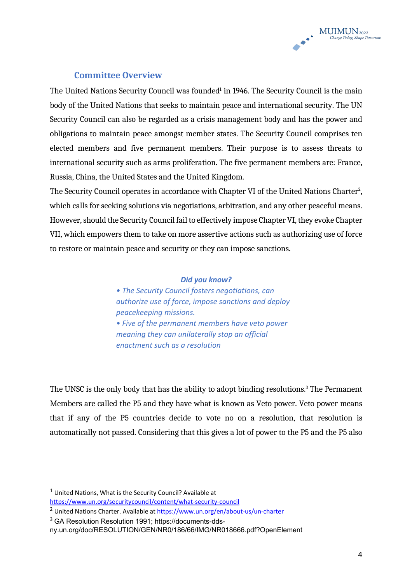

### **Committee Overview**

The United Nations Security Council was founded<sup>1</sup> in 1946. The Security Council is the main body of the United Nations that seeks to maintain peace and international security. The UN Security Council can also be regarded as a crisis management body and has the power and obligations to maintain peace amongst member states. The Security Council comprises ten elected members and five permanent members. Their purpose is to assess threats to international security such as arms proliferation. The five permanent members are: France, Russia, China, the United States and the United Kingdom.

The Security Council operates in accordance with Chapter VI of the United Nations Charter $^2$ , which calls for seeking solutions via negotiations, arbitration, and any other peaceful means. However, should the Security Council fail to effectively impose Chapter VI, they evoke Chapter VII, which empowers them to take on more assertive actions such as authorizing use of force to restore or maintain peace and security or they can impose sanctions.

#### *Did you know?*

*• The Security Council fosters negotiations, can authorize use of force, impose sanctions and deploy peacekeeping missions. • Five of the permanent members have veto power meaning they can unilaterally stop an official enactment such as a resolution*

The UNSC is the only body that has the ability to adopt binding resolutions.<sup>3</sup> The Permanent Members are called the P5 and they have what is known as Veto power. Veto power means that if any of the P5 countries decide to vote no on a resolution, that resolution is automatically not passed. Considering that this gives a lot of power to the P5 and the P5 also

 $1$  United Nations, What is the Security Council? Available at https://www.un.org/securitycouncil/content/what-security-council

<sup>&</sup>lt;sup>2</sup> United Nations Charter. Available at https://www.un.org/en/about-us/un-charter

<sup>3</sup> GA Resolution Resolution 1991; https://documents-dds-

ny.un.org/doc/RESOLUTION/GEN/NR0/186/66/IMG/NR018666.pdf?OpenElement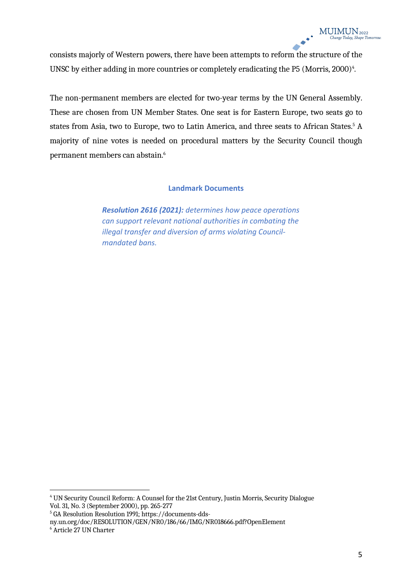consists majorly of Western powers, there have been attempts to reform the structure of the UNSC by either adding in more countries or completely eradicating the P5 (Morris, 2000)<sup>4</sup>.

The non-permanent members are elected for two-year terms by the UN General Assembly. These are chosen from UN Member States. One seat is for Eastern Europe, two seats go to states from Asia, two to Europe, two to Latin America, and three seats to African States.<sup>5</sup> A majority of nine votes is needed on procedural matters by the Security Council though permanent members can abstain.6

#### **Landmark Documents**

*Resolution 2616 (2021): determines how peace operations can support relevant national authorities in combating the illegal transfer and diversion of arms violating Councilmandated bans.*

<sup>4</sup> UN Security Council Reform: A Counsel for the 21st Century, Justin Morris, Security Dialogue Vol. 31, No. 3 (September 2000), pp. 265-277

<sup>5</sup> GA Resolution Resolution 1991; https://documents-dds-

ny.un.org/doc/RESOLUTION/GEN/NR0/186/66/IMG/NR018666.pdf?OpenElement

<sup>6</sup> Article 27 UN Charter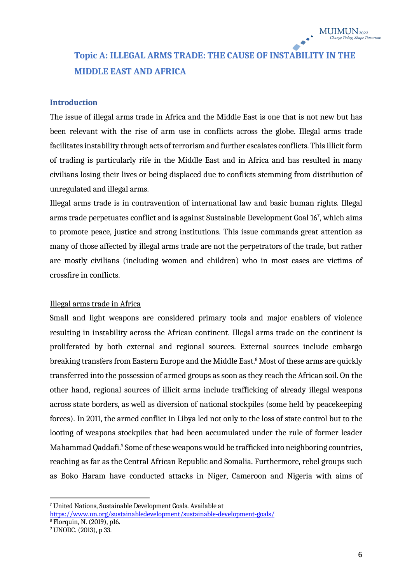# **Topic A: ILLEGAL ARMS TRADE: THE CAUSE OF INSTABILITY IN THE MIDDLE EAST AND AFRICA**

#### **Introduction**

The issue of illegal arms trade in Africa and the Middle East is one that is not new but has been relevant with the rise of arm use in conflicts across the globe. Illegal arms trade facilitates instability through acts of terrorism and further escalates conflicts. This illicit form of trading is particularly rife in the Middle East and in Africa and has resulted in many civilians losing their lives or being displaced due to conflicts stemming from distribution of unregulated and illegal arms.

Illegal arms trade is in contravention of international law and basic human rights. Illegal arms trade perpetuates conflict and is against Sustainable Development Goal 167 , which aims to promote peace, justice and strong institutions. This issue commands great attention as many of those affected by illegal arms trade are not the perpetrators of the trade, but rather are mostly civilians (including women and children) who in most cases are victims of crossfire in conflicts.

#### Illegal arms trade in Africa

Small and light weapons are considered primary tools and major enablers of violence resulting in instability across the African continent. Illegal arms trade on the continent is proliferated by both external and regional sources. External sources include embargo breaking transfers from Eastern Europe and the Middle East.<sup>8</sup> Most of these arms are quickly transferred into the possession of armed groups as soon as they reach the African soil. On the other hand, regional sources of illicit arms include trafficking of already illegal weapons across state borders, as well as diversion of national stockpiles (some held by peacekeeping forces). In 2011, the armed conflict in Libya led not only to the loss of state control but to the looting of weapons stockpiles that had been accumulated under the rule of former leader Mahammad Qaddafi.<sup>9</sup> Some of these weapons would be trafficked into neighboring countries, reaching as far as the Central African Republic and Somalia. Furthermore, rebel groups such as Boko Haram have conducted attacks in Niger, Cameroon and Nigeria with aims of

<sup>7</sup> United Nations, Sustainable Development Goals. Available at https://www.un.org/sustainabledevelopment/sustainable-development-goals/

<sup>8</sup> Florquin, N. (2019), p16.

<sup>9</sup> UNODC. (2013), p 33.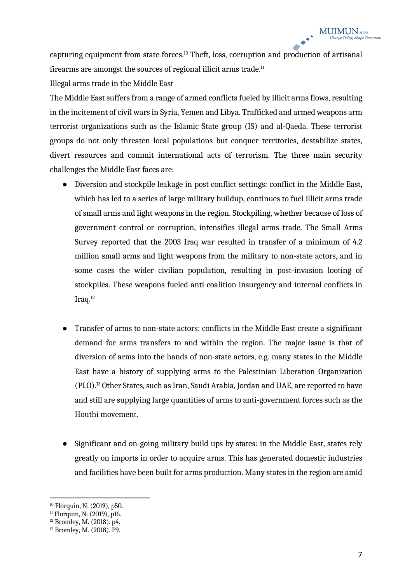capturing equipment from state forces.10 Theft, loss, corruption and production of artisanal firearms are amongst the sources of regional illicit arms trade. $<sup>11</sup>$ </sup>

#### Illegal arms trade in the Middle East

The Middle East suffers from a range of armed conflicts fueled by illicit arms flows, resulting in the incitement of civil wars in Syria, Yemen and Libya. Trafficked and armed weapons arm terrorist organizations such as the Islamic State group (IS) and al-Qaeda. These terrorist groups do not only threaten local populations but conquer territories, destabilize states, divert resources and commit international acts of terrorism. The three main security challenges the Middle East faces are:

- Diversion and stockpile leakage in post conflict settings: conflict in the Middle East, which has led to a series of large military buildup, continues to fuel illicit arms trade of small arms and light weapons in the region. Stockpiling, whether because of loss of government control or corruption, intensifies illegal arms trade. The Small Arms Survey reported that the 2003 Iraq war resulted in transfer of a minimum of 4.2 million small arms and light weapons from the military to non-state actors, and in some cases the wider civilian population, resulting in post-invasion looting of stockpiles. These weapons fueled anti coalition insurgency and internal conflicts in Iraq.12
- Transfer of arms to non-state actors: conflicts in the Middle East create a significant demand for arms transfers to and within the region. The major issue is that of diversion of arms into the hands of non-state actors, e.g. many states in the Middle East have a history of supplying arms to the Palestinian Liberation Organization (PLO).13 Other States, such as Iran, Saudi Arabia, Jordan and UAE, are reported to have and still are supplying large quantities of arms to anti-government forces such as the Houthi movement.
- Significant and on-going military build ups by states: in the Middle East, states rely greatly on imports in order to acquire arms. This has generated domestic industries and facilities have been built for arms production. Many states in the region are amid

<sup>10</sup> Florquin, N. (2019), p50.

 $11$  Florquin, N. (2019), p16.

 $12$  Bromley, M. (2018). p4.

<sup>13</sup> Bromley, M. (2018). P9.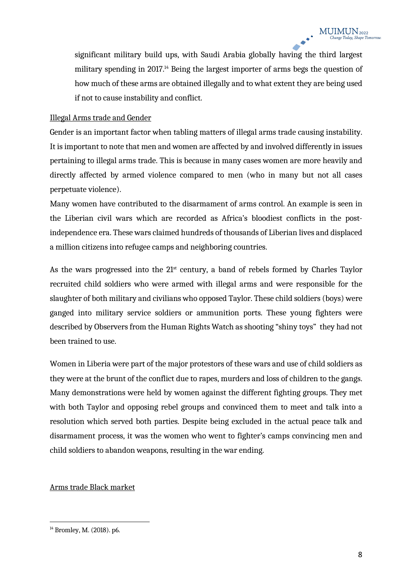significant military build ups, with Saudi Arabia globally having the third largest military spending in 2017.<sup>14</sup> Being the largest importer of arms begs the question of how much of these arms are obtained illegally and to what extent they are being used if not to cause instability and conflict.

#### Illegal Arms trade and Gender

Gender is an important factor when tabling matters of illegal arms trade causing instability. It is important to note that men and women are affected by and involved differently in issues pertaining to illegal arms trade. This is because in many cases women are more heavily and directly affected by armed violence compared to men (who in many but not all cases perpetuate violence).

Many women have contributed to the disarmament of arms control. An example is seen in the Liberian civil wars which are recorded as Africa's bloodiest conflicts in the postindependence era. These wars claimed hundreds of thousands of Liberian lives and displaced a million citizens into refugee camps and neighboring countries.

As the wars progressed into the  $21<sup>st</sup>$  century, a band of rebels formed by Charles Taylor recruited child soldiers who were armed with illegal arms and were responsible for the slaughter of both military and civilians who opposed Taylor. These child soldiers (boys) were ganged into military service soldiers or ammunition ports. These young fighters were described by Observers from the Human Rights Watch as shooting "shiny toys" they had not been trained to use.

Women in Liberia were part of the major protestors of these wars and use of child soldiers as they were at the brunt of the conflict due to rapes, murders and loss of children to the gangs. Many demonstrations were held by women against the different fighting groups. They met with both Taylor and opposing rebel groups and convinced them to meet and talk into a resolution which served both parties. Despite being excluded in the actual peace talk and disarmament process, it was the women who went to fighter's camps convincing men and child soldiers to abandon weapons, resulting in the war ending.

#### Arms trade Black market

<sup>14</sup> Bromley, M. (2018). p6.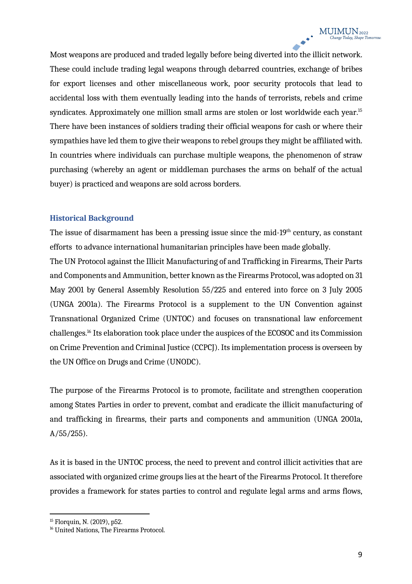Most weapons are produced and traded legally before being diverted into the illicit network. These could include trading legal weapons through debarred countries, exchange of bribes for export licenses and other miscellaneous work, poor security protocols that lead to accidental loss with them eventually leading into the hands of terrorists, rebels and crime syndicates. Approximately one million small arms are stolen or lost worldwide each year.<sup>15</sup> There have been instances of soldiers trading their official weapons for cash or where their sympathies have led them to give their weapons to rebel groups they might be affiliated with. In countries where individuals can purchase multiple weapons, the phenomenon of straw purchasing (whereby an agent or middleman purchases the arms on behalf of the actual buyer) is practiced and weapons are sold across borders.

#### **Historical Background**

The issue of disarmament has been a pressing issue since the mid- $19<sup>th</sup>$  century, as constant efforts to advance international humanitarian principles have been made globally.

The UN Protocol against the Illicit Manufacturing of and Trafficking in Firearms, Their Parts and Components and Ammunition, better known as the Firearms Protocol, was adopted on 31 May 2001 by General Assembly Resolution 55/225 and entered into force on 3 July 2005 (UNGA 2001a). The Firearms Protocol is a supplement to the UN Convention against Transnational Organized Crime (UNTOC) and focuses on transnational law enforcement challenges.16 Its elaboration took place under the auspices of the ECOSOC and its Commission on Crime Prevention and Criminal Justice (CCPCJ). Its implementation process is overseen by the UN Office on Drugs and Crime (UNODC).

The purpose of the Firearms Protocol is to promote, facilitate and strengthen cooperation among States Parties in order to prevent, combat and eradicate the illicit manufacturing of and trafficking in firearms, their parts and components and ammunition (UNGA 2001a,  $A/55/255$ ).

As it is based in the UNTOC process, the need to prevent and control illicit activities that are associated with organized crime groups lies at the heart of the Firearms Protocol. It therefore provides a framework for states parties to control and regulate legal arms and arms flows,

<sup>15</sup> Florquin, N. (2019), p52.

<sup>&</sup>lt;sup>16</sup> United Nations, The Firearms Protocol.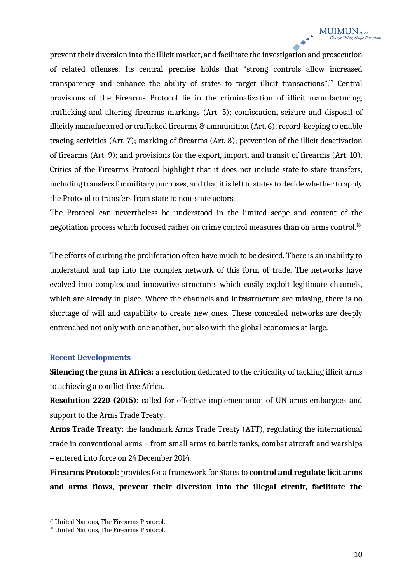prevent their diversion into the illicit market, and facilitate the investigation and prosecution of related offenses. Its central premise holds that "strong controls allow increased transparency and enhance the ability of states to target illicit transactions".17 Central provisions of the Firearms Protocol lie in the criminalization of illicit manufacturing, trafficking and altering firearms markings (Art. 5); confiscation, seizure and disposal of illicitly manufactured or trafficked firearms & ammunition (Art. 6); record-keeping to enable tracing activities (Art. 7); marking of firearms (Art. 8); prevention of the illicit deactivation of firearms (Art. 9); and provisions for the export, import, and transit of firearms (Art. 10). Critics of the Firearms Protocol highlight that it does not include state-to-state transfers, including transfers for military purposes, and that it is left to states to decide whether to apply the Protocol to transfers from state to non-state actors.

The Protocol can nevertheless be understood in the limited scope and content of the negotiation process which focused rather on crime control measures than on arms control. $^{\scriptscriptstyle{18}}$ 

The efforts of curbing the proliferation often have much to be desired. There is an inability to understand and tap into the complex network of this form of trade. The networks have evolved into complex and innovative structures which easily exploit legitimate channels, which are already in place. Where the channels and infrastructure are missing, there is no shortage of will and capability to create new ones. These concealed networks are deeply entrenched not only with one another, but also with the global economies at large.

#### **Recent Developments**

**Silencing the guns in Africa:** a resolution dedicated to the criticality of tackling illicit arms to achieving a conflict-free Africa.

**Resolution 2220 (2015)**: called for effective implementation of UN arms embargoes and support to the Arms Trade Treaty.

**Arms Trade Treaty:** the landmark Arms Trade Treaty (ATT), regulating the international trade in conventional arms – from small arms to battle tanks, combat aircraft and warships – entered into force on 24 December 2014.

**Firearms Protocol:** provides for a framework for States to **control and regulate licit arms and arms flows, prevent their diversion into the illegal circuit, facilitate the** 

<sup>&</sup>lt;sup>17</sup> United Nations, The Firearms Protocol.

<sup>18</sup> United Nations, The Firearms Protocol.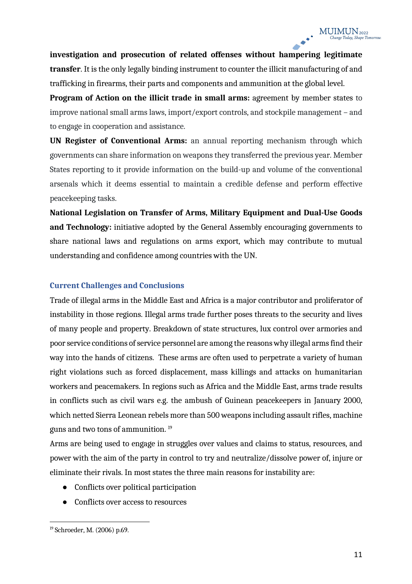**investigation and prosecution of related offenses without hampering legitimate transfer**. It is the only legally binding instrument to counter the illicit manufacturing of and trafficking in firearms, their parts and components and ammunition at the global level.

**Program of Action on the illicit trade in small arms:** agreement by member states to improve national small arms laws, import/export controls, and stockpile management – and to engage in cooperation and assistance.

**UN Register of Conventional Arms:** an annual reporting mechanism through which governments can share information on weapons they transferred the previous year. Member States reporting to it provide information on the build-up and volume of the conventional arsenals which it deems essential to maintain a credible defense and perform effective peacekeeping tasks.

**National Legislation on Transfer of Arms, Military Equipment and Dual-Use Goods and Technology:** initiative adopted by the General Assembly encouraging governments to share national laws and regulations on arms export, which may contribute to mutual understanding and confidence among countries with the UN.

#### **Current Challenges and Conclusions**

Trade of illegal arms in the Middle East and Africa is a major contributor and proliferator of instability in those regions. Illegal arms trade further poses threats to the security and lives of many people and property. Breakdown of state structures, lux control over armories and poor service conditions of service personnel are among the reasons why illegal arms find their way into the hands of citizens. These arms are often used to perpetrate a variety of human right violations such as forced displacement, mass killings and attacks on humanitarian workers and peacemakers. In regions such as Africa and the Middle East, arms trade results in conflicts such as civil wars e.g. the ambush of Guinean peacekeepers in January 2000, which netted Sierra Leonean rebels more than 500 weapons including assault rifles, machine guns and two tons of ammunition. 19

Arms are being used to engage in struggles over values and claims to status, resources, and power with the aim of the party in control to try and neutralize/dissolve power of, injure or eliminate their rivals. In most states the three main reasons for instability are:

- Conflicts over political participation
- Conflicts over access to resources

<sup>19</sup> Schroeder, M. (2006) p.69.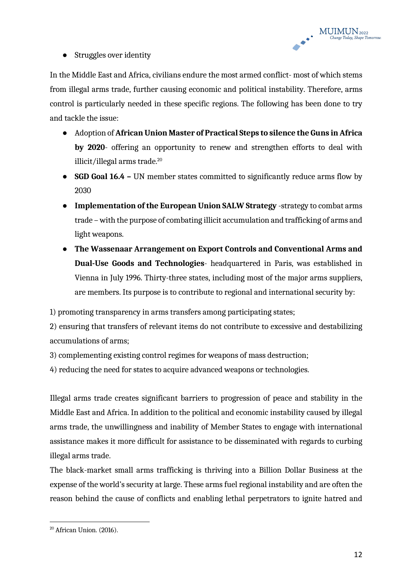

• Struggles over identity

In the Middle East and Africa, civilians endure the most armed conflict- most of which stems from illegal arms trade, further causing economic and political instability. Therefore, arms control is particularly needed in these specific regions. The following has been done to try and tackle the issue:

- Adoption of **African Union Master of Practical Steps to silence the Guns in Africa by 2020**- offering an opportunity to renew and strengthen efforts to deal with illicit/illegal arms trade.<sup>20</sup>
- **SGD Goal 16.4 –** UN member states committed to significantly reduce arms flow by 2030
- **Implementation of the European Union SALW Strategy** -strategy to combat arms trade – with the purpose of combating illicit accumulation and trafficking of arms and light weapons.
- **The Wassenaar Arrangement on Export Controls and Conventional Arms and Dual-Use Goods and Technologies**- headquartered in Paris, was established in Vienna in July 1996. Thirty-three states, including most of the major arms suppliers, are members. Its purpose is to contribute to regional and international security by:

1) promoting transparency in arms transfers among participating states;

2) ensuring that transfers of relevant items do not contribute to excessive and destabilizing accumulations of arms;

3) complementing existing control regimes for weapons of mass destruction;

4) reducing the need for states to acquire advanced weapons or technologies.

Illegal arms trade creates significant barriers to progression of peace and stability in the Middle East and Africa. In addition to the political and economic instability caused by illegal arms trade, the unwillingness and inability of Member States to engage with international assistance makes it more difficult for assistance to be disseminated with regards to curbing illegal arms trade.

The black-market small arms trafficking is thriving into a Billion Dollar Business at the expense of the world's security at large. These arms fuel regional instability and are often the reason behind the cause of conflicts and enabling lethal perpetrators to ignite hatred and

<sup>20</sup> African Union. (2016).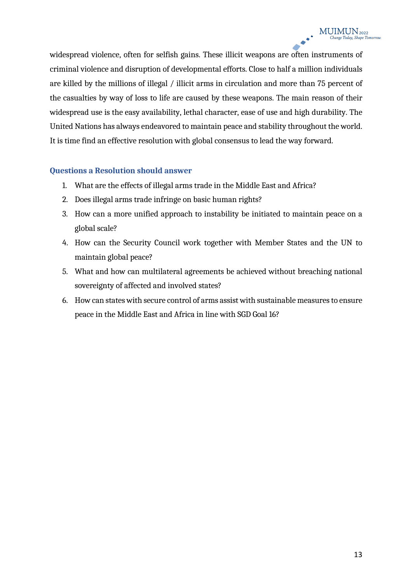widespread violence, often for selfish gains. These illicit weapons are often instruments of criminal violence and disruption of developmental efforts. Close to half a million individuals are killed by the millions of illegal / illicit arms in circulation and more than 75 percent of the casualties by way of loss to life are caused by these weapons. The main reason of their widespread use is the easy availability, lethal character, ease of use and high durability. The United Nations has always endeavored to maintain peace and stability throughout the world. It is time find an effective resolution with global consensus to lead the way forward.

#### **Questions a Resolution should answer**

- 1. What are the effects of illegal arms trade in the Middle East and Africa?
- 2. Does illegal arms trade infringe on basic human rights?
- 3. How can a more unified approach to instability be initiated to maintain peace on a global scale?
- 4. How can the Security Council work together with Member States and the UN to maintain global peace?
- 5. What and how can multilateral agreements be achieved without breaching national sovereignty of affected and involved states?
- 6. How can states with secure control of arms assist with sustainable measures to ensure peace in the Middle East and Africa in line with SGD Goal 16?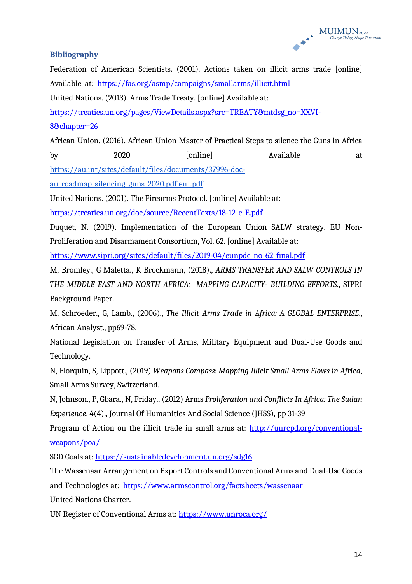#### **Bibliography**

Federation of American Scientists. (2001). Actions taken on illicit arms trade [online] Available at: https://fas.org/asmp/campaigns/smallarms/illicit.html

United Nations. (2013). Arms Trade Treaty. [online] Available at:

https://treaties.un.org/pages/ViewDetails.aspx?src=TREATY&mtdsg\_no=XXVI-

8&chapter=26

African Union. (2016). African Union Master of Practical Steps to silence the Guns in Africa by 2020 [online] Available at

https://au.int/sites/default/files/documents/37996-doc-

au roadmap silencing guns 2020.pdf.en .pdf

United Nations. (2001). The Firearms Protocol. [online] Available at:

https://treaties.un.org/doc/source/RecentTexts/18-12\_c\_E.pdf

Duquet, N. (2019). Implementation of the European Union SALW strategy. EU Non-Proliferation and Disarmament Consortium, Vol. 62. [online] Available at:

https://www.sipri.org/sites/default/files/2019-04/eunpdc\_no\_62\_final.pdf

M, Bromley., G Maletta., K Brockmann, (2018)., *ARMS TRANSFER AND SALW CONTROLS IN THE MIDDLE EAST AND NORTH AFRICA: MAPPING CAPACITY- BUILDING EFFORTS*., SIPRI Background Paper.

M, Schroeder., G, Lamb., (2006)., *The Illicit Arms Trade in Africa: A GLOBAL ENTERPRISE*., African Analyst., pp69-78.

National Legislation on Transfer of Arms, Military Equipment and Dual-Use Goods and Technology.

N, Florquin, S, Lippott., (2019) *Weapons Compass: Mapping Illicit Small Arms Flows in Africa*, Small Arms Survey, Switzerland.

N, Johnson., P, Gbara., N, Friday., (2012) Arms *Proliferation and Conflicts In Africa: The Sudan Experience*, 4(4)., Journal Of Humanities And Social Science (JHSS), pp 31-39

Program of Action on the illicit trade in small arms at: http://unrcpd.org/conventionalweapons/poa/

SGD Goals at: https://sustainabledevelopment.un.org/sdg16

The Wassenaar Arrangement on Export Controls and Conventional Arms and Dual-Use Goods and Technologies at: https://www.armscontrol.org/factsheets/wassenaar United Nations Charter.

UN Register of Conventional Arms at: https://www.unroca.org/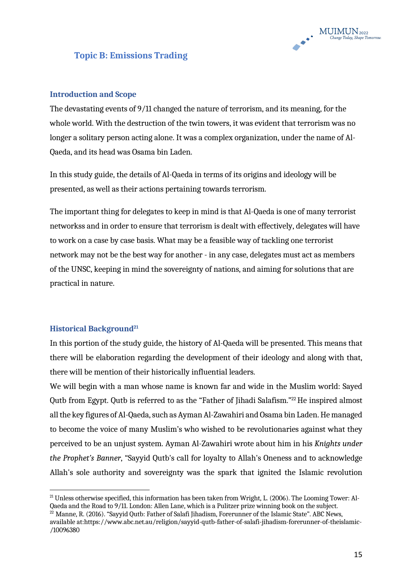

## **Topic B: Emissions Trading**

#### **Introduction and Scope**

The devastating events of 9/11 changed the nature of terrorism, and its meaning, for the whole world. With the destruction of the twin towers, it was evident that terrorism was no longer a solitary person acting alone. It was a complex organization, under the name of Al-Qaeda, and its head was Osama bin Laden.

In this study guide, the details of Al-Qaeda in terms of its origins and ideology will be presented, as well as their actions pertaining towards terrorism.

The important thing for delegates to keep in mind is that Al-Qaeda is one of many terrorist networkss and in order to ensure that terrorism is dealt with effectively, delegates will have to work on a case by case basis. What may be a feasible way of tackling one terrorist network may not be the best way for another - in any case, delegates must act as members of the UNSC, keeping in mind the sovereignty of nations, and aiming for solutions that are practical in nature.

#### **Historical Background**<sup>21</sup>

In this portion of the study guide, the history of Al-Qaeda will be presented. This means that there will be elaboration regarding the development of their ideology and along with that, there will be mention of their historically influential leaders.

We will begin with a man whose name is known far and wide in the Muslim world: Sayed Qutb from Egypt. Qutb is referred to as the "Father of Jihadi Salafism."<sup>22</sup> He inspired almost all the key figures of Al-Qaeda, such as Ayman Al-Zawahiri and Osama bin Laden. He managed to become the voice of many Muslim's who wished to be revolutionaries against what they perceived to be an unjust system. Ayman Al-Zawahiri wrote about him in his *Knights under the Prophet's Banner*, "Sayyid Qutb's call for loyalty to Allah's Oneness and to acknowledge Allah's sole authority and sovereignty was the spark that ignited the Islamic revolution

<sup>21</sup> Unless otherwise specified, this information has been taken from Wright, L. (2006). The Looming Tower: Al-Qaeda and the Road to 9/11. London: Allen Lane, which is a Pulitzer prize winning book on the subject.

 $^{22}$  Manne, R. (2016). "Sayyid Outb: Father of Salafi Jihadism, Forerunner of the Islamic State". ABC News, available at:https://www.abc.net.au/religion/sayyid-qutb-father-of-salafi-jihadism-forerunner-of-theislamic- /10096380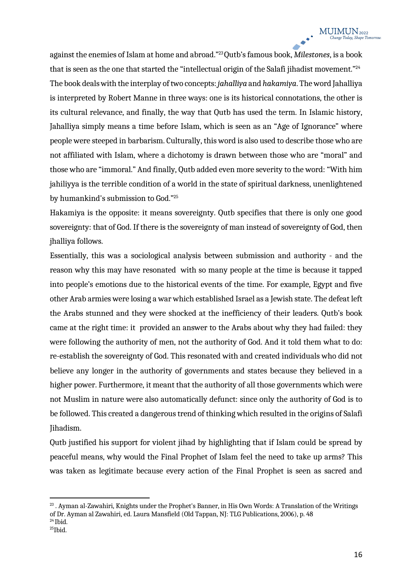against the enemies of Islam at home and abroad."23Qutb's famous book, *Milestones*, is a book that is seen as the one that started the "intellectual origin of the Salafi jihadist movement."<sup>24</sup> The book deals with the interplay of two concepts: *jahalliya* and *hakamiya*. The word Jahalliya is interpreted by Robert Manne in three ways: one is its historical connotations, the other is its cultural relevance, and finally, the way that Qutb has used the term. In Islamic history, Jahalliya simply means a time before Islam, which is seen as an "Age of Ignorance" where people were steeped in barbarism. Culturally, this word is also used to describe those who are not affiliated with Islam, where a dichotomy is drawn between those who are "moral" and those who are "immoral." And finally, Qutb added even more severity to the word: "With him jahiliyya is the terrible condition of a world in the state of spiritual darkness, unenlightened by humankind's submission to God."25

Hakamiya is the opposite: it means sovereignty. Qutb specifies that there is only one good sovereignty: that of God. If there is the sovereignty of man instead of sovereignty of God, then jhalliya follows.

Essentially, this was a sociological analysis between submission and authority - and the reason why this may have resonated with so many people at the time is because it tapped into people's emotions due to the historical events of the time. For example, Egypt and five other Arab armies were losing a war which established Israel as a Jewish state. The defeat left the Arabs stunned and they were shocked at the inefficiency of their leaders. Qutb's book came at the right time: it provided an answer to the Arabs about why they had failed: they were following the authority of men, not the authority of God. And it told them what to do: re-establish the sovereignty of God. This resonated with and created individuals who did not believe any longer in the authority of governments and states because they believed in a higher power. Furthermore, it meant that the authority of all those governments which were not Muslim in nature were also automatically defunct: since only the authority of God is to be followed. This created a dangerous trend of thinking which resulted in the origins of Salafi Jihadism.

Qutb justified his support for violent jihad by highlighting that if Islam could be spread by peaceful means, why would the Final Prophet of Islam feel the need to take up arms? This was taken as legitimate because every action of the Final Prophet is seen as sacred and

 $^{23}$ . Ayman al-Zawahiri, Knights under the Prophet's Banner, in His Own Words: A Translation of the Writings of Dr. Ayman al Zawahiri, ed. Laura Mansfield (Old Tappan, NJ: TLG Publications, 2006), p. 48  $24$  Ibid.

 $25$ Ibid.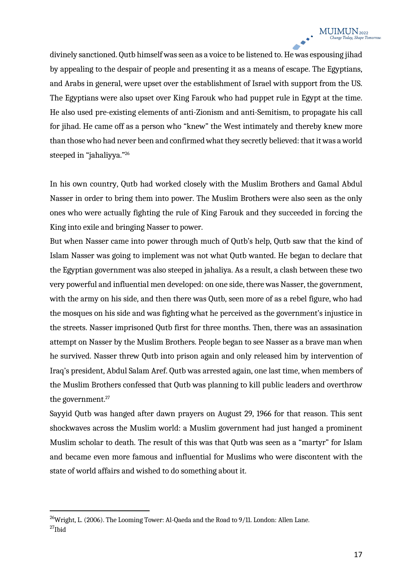divinely sanctioned. Qutb himself was seen as a voice to be listened to. He was espousing jihad by appealing to the despair of people and presenting it as a means of escape. The Egyptians, and Arabs in general, were upset over the establishment of Israel with support from the US. The Egyptians were also upset over King Farouk who had puppet rule in Egypt at the time. He also used pre-existing elements of anti-Zionism and anti-Semitism, to propagate his call for jihad. He came off as a person who "knew" the West intimately and thereby knew more than those who had never been and confirmed what they secretly believed: that it was a world steeped in "jahaliyya."26

In his own country, Qutb had worked closely with the Muslim Brothers and Gamal Abdul Nasser in order to bring them into power. The Muslim Brothers were also seen as the only ones who were actually fighting the rule of King Farouk and they succeeded in forcing the King into exile and bringing Nasser to power.

But when Nasser came into power through much of Qutb's help, Qutb saw that the kind of Islam Nasser was going to implement was not what Qutb wanted. He began to declare that the Egyptian government was also steeped in jahaliya. As a result, a clash between these two very powerful and influential men developed: on one side, there was Nasser, the government, with the army on his side, and then there was Qutb, seen more of as a rebel figure, who had the mosques on his side and was fighting what he perceived as the government's injustice in the streets. Nasser imprisoned Qutb first for three months. Then, there was an assasination attempt on Nasser by the Muslim Brothers. People began to see Nasser as a brave man when he survived. Nasser threw Qutb into prison again and only released him by intervention of Iraq's president, Abdul Salam Aref. Qutb was arrested again, one last time, when members of the Muslim Brothers confessed that Qutb was planning to kill public leaders and overthrow the government.<sup>27</sup>

Sayyid Qutb was hanged after dawn prayers on August 29, 1966 for that reason. This sent shockwaves across the Muslim world: a Muslim government had just hanged a prominent Muslim scholar to death. The result of this was that Qutb was seen as a "martyr" for Islam and became even more famous and influential for Muslims who were discontent with the state of world affairs and wished to do something about it.

<sup>&</sup>lt;sup>26</sup>Wright, L. (2006). The Looming Tower: Al-Qaeda and the Road to 9/11. London: Allen Lane. 27Ibid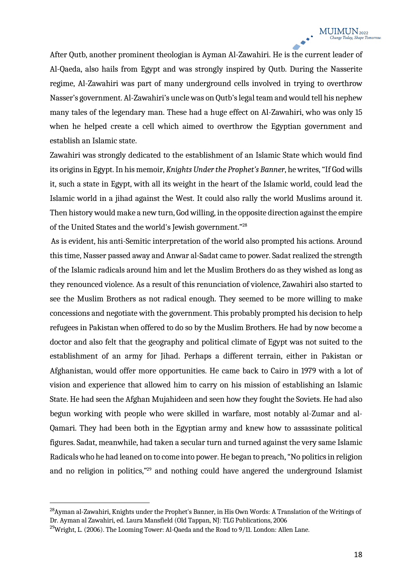After Qutb, another prominent theologian is Ayman Al-Zawahiri. He is the current leader of Al-Qaeda, also hails from Egypt and was strongly inspired by Qutb. During the Nasserite regime, Al-Zawahiri was part of many underground cells involved in trying to overthrow Nasser's government. Al-Zawahiri's uncle was on Qutb's legal team and would tell his nephew many tales of the legendary man. These had a huge effect on Al-Zawahiri, who was only 15 when he helped create a cell which aimed to overthrow the Egyptian government and establish an Islamic state.

Zawahiri was strongly dedicated to the establishment of an Islamic State which would find its origins in Egypt. In his memoir, *Knights Under the Prophet's Banner*, he writes, "If God wills it, such a state in Egypt, with all its weight in the heart of the Islamic world, could lead the Islamic world in a jihad against the West. It could also rally the world Muslims around it. Then history would make a new turn, God willing, in the opposite direction against the empire of the United States and the world's Jewish government."28

As is evident, his anti-Semitic interpretation of the world also prompted his actions. Around this time, Nasser passed away and Anwar al-Sadat came to power. Sadat realized the strength of the Islamic radicals around him and let the Muslim Brothers do as they wished as long as they renounced violence. As a result of this renunciation of violence, Zawahiri also started to see the Muslim Brothers as not radical enough. They seemed to be more willing to make concessions and negotiate with the government. This probably prompted his decision to help refugees in Pakistan when offered to do so by the Muslim Brothers. He had by now become a doctor and also felt that the geography and political climate of Egypt was not suited to the establishment of an army for Jihad. Perhaps a different terrain, either in Pakistan or Afghanistan, would offer more opportunities. He came back to Cairo in 1979 with a lot of vision and experience that allowed him to carry on his mission of establishing an Islamic State. He had seen the Afghan Mujahideen and seen how they fought the Soviets. He had also begun working with people who were skilled in warfare, most notably al-Zumar and al-Qamari. They had been both in the Egyptian army and knew how to assassinate political figures. Sadat, meanwhile, had taken a secular turn and turned against the very same Islamic Radicals who he had leaned on to come into power. He began to preach, "No politics in religion and no religion in politics,"<sup>29</sup> and nothing could have angered the underground Islamist

<sup>28</sup>Ayman al-Zawahiri, Knights under the Prophet's Banner, in His Own Words: A Translation of the Writings of Dr. Ayman al Zawahiri, ed. Laura Mansfield (Old Tappan, NJ: TLG Publications, 2006

<sup>&</sup>lt;sup>29</sup>Wright, L. (2006). The Looming Tower: Al-Qaeda and the Road to 9/11. London: Allen Lane.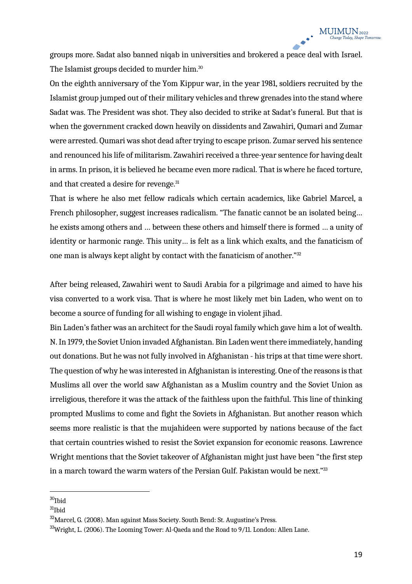groups more. Sadat also banned niqab in universities and brokered a peace deal with Israel. The Islamist groups decided to murder him.<sup>30</sup>

On the eighth anniversary of the Yom Kippur war, in the year 1981, soldiers recruited by the Islamist group jumped out of their military vehicles and threw grenades into the stand where Sadat was. The President was shot. They also decided to strike at Sadat's funeral. But that is when the government cracked down heavily on dissidents and Zawahiri, Qumari and Zumar were arrested. Qumari was shot dead after trying to escape prison. Zumar served his sentence and renounced his life of militarism. Zawahiri received a three-year sentence for having dealt in arms. In prison, it is believed he became even more radical. That is where he faced torture, and that created a desire for revenge.<sup>31</sup>

That is where he also met fellow radicals which certain academics, like Gabriel Marcel, a French philosopher, suggest increases radicalism. "The fanatic cannot be an isolated being… he exists among others and … between these others and himself there is formed … a unity of identity or harmonic range. This unity… is felt as a link which exalts, and the fanaticism of one man is always kept alight by contact with the fanaticism of another."32

After being released, Zawahiri went to Saudi Arabia for a pilgrimage and aimed to have his visa converted to a work visa. That is where he most likely met bin Laden, who went on to become a source of funding for all wishing to engage in violent jihad.

Bin Laden's father was an architect for the Saudi royal family which gave him a lot of wealth. N. In 1979, the Soviet Union invaded Afghanistan. Bin Laden went there immediately, handing out donations. But he was not fully involved in Afghanistan - his trips at that time were short. The question of why he was interested in Afghanistan is interesting. One of the reasons is that Muslims all over the world saw Afghanistan as a Muslim country and the Soviet Union as irreligious, therefore it was the attack of the faithless upon the faithful. This line of thinking prompted Muslims to come and fight the Soviets in Afghanistan. But another reason which seems more realistic is that the mujahideen were supported by nations because of the fact that certain countries wished to resist the Soviet expansion for economic reasons. Lawrence Wright mentions that the Soviet takeover of Afghanistan might just have been "the first step in a march toward the warm waters of the Persian Gulf. Pakistan would be next."33

 $30$ Ibid

 $31$ Ibid

 $32$ Marcel, G. (2008). Man against Mass Society. South Bend: St. Augustine's Press.

<sup>33</sup>Wright, L. (2006). The Looming Tower: Al-Qaeda and the Road to 9/11. London: Allen Lane.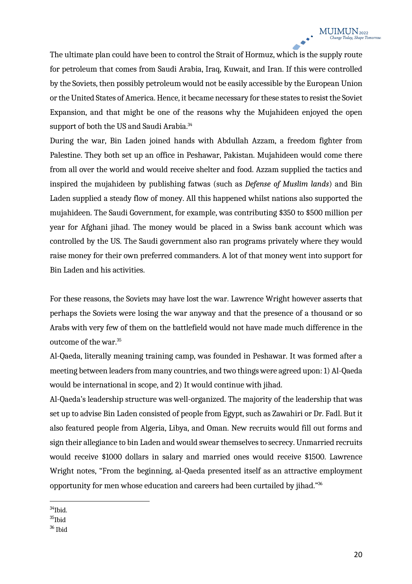The ultimate plan could have been to control the Strait of Hormuz, which is the supply route for petroleum that comes from Saudi Arabia, Iraq, Kuwait, and Iran. If this were controlled by the Soviets, then possibly petroleum would not be easily accessible by the European Union or the United States of America. Hence, it became necessary for these states to resist the Soviet Expansion, and that might be one of the reasons why the Mujahideen enjoyed the open support of both the US and Saudi Arabia.<sup>34</sup>

During the war, Bin Laden joined hands with Abdullah Azzam, a freedom fighter from Palestine. They both set up an office in Peshawar, Pakistan. Mujahideen would come there from all over the world and would receive shelter and food. Azzam supplied the tactics and inspired the mujahideen by publishing fatwas (such as *Defense of Muslim lands*) and Bin Laden supplied a steady flow of money. All this happened whilst nations also supported the mujahideen. The Saudi Government, for example, was contributing \$350 to \$500 million per year for Afghani jihad. The money would be placed in a Swiss bank account which was controlled by the US. The Saudi government also ran programs privately where they would raise money for their own preferred commanders. A lot of that money went into support for Bin Laden and his activities.

For these reasons, the Soviets may have lost the war. Lawrence Wright however asserts that perhaps the Soviets were losing the war anyway and that the presence of a thousand or so Arabs with very few of them on the battlefield would not have made much difference in the outcome of the war.35

Al-Qaeda, literally meaning training camp, was founded in Peshawar. It was formed after a meeting between leaders from many countries, and two things were agreed upon: 1) Al-Qaeda would be international in scope, and 2) It would continue with jihad.

Al-Qaeda's leadership structure was well-organized. The majority of the leadership that was set up to advise Bin Laden consisted of people from Egypt, such as Zawahiri or Dr. Fadl. But it also featured people from Algeria, Libya, and Oman. New recruits would fill out forms and sign their allegiance to bin Laden and would swear themselves to secrecy. Unmarried recruits would receive \$1000 dollars in salary and married ones would receive \$1500. Lawrence Wright notes, "From the beginning, al-Qaeda presented itself as an attractive employment opportunity for men whose education and careers had been curtailed by jihad."36

 $34$ Ibid.

<sup>35</sup>Ibid

<sup>36</sup> Ibid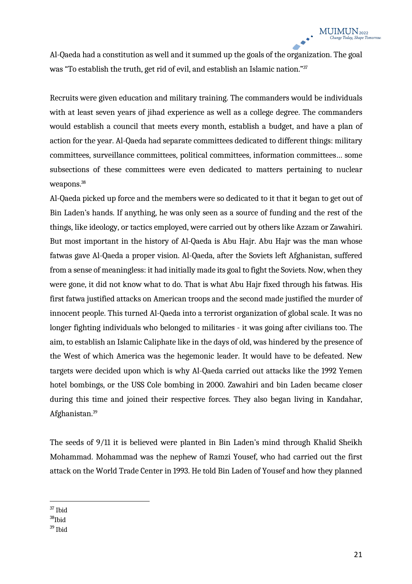Al-Qaeda had a constitution as well and it summed up the goals of the organization. The goal was "To establish the truth, get rid of evil, and establish an Islamic nation."37

Recruits were given education and military training. The commanders would be individuals with at least seven years of jihad experience as well as a college degree. The commanders would establish a council that meets every month, establish a budget, and have a plan of action for the year. Al-Qaeda had separate committees dedicated to different things: military committees, surveillance committees, political committees, information committees… some subsections of these committees were even dedicated to matters pertaining to nuclear weapons.<sup>38</sup>

Al-Qaeda picked up force and the members were so dedicated to it that it began to get out of Bin Laden's hands. If anything, he was only seen as a source of funding and the rest of the things, like ideology, or tactics employed, were carried out by others like Azzam or Zawahiri. But most important in the history of Al-Qaeda is Abu Hajr. Abu Hajr was the man whose fatwas gave Al-Qaeda a proper vision. Al-Qaeda, after the Soviets left Afghanistan, suffered from a sense of meaningless: it had initially made its goal to fight the Soviets. Now, when they were gone, it did not know what to do. That is what Abu Hajr fixed through his fatwas. His first fatwa justified attacks on American troops and the second made justified the murder of innocent people. This turned Al-Qaeda into a terrorist organization of global scale. It was no longer fighting individuals who belonged to militaries - it was going after civilians too. The aim, to establish an Islamic Caliphate like in the days of old, was hindered by the presence of the West of which America was the hegemonic leader. It would have to be defeated. New targets were decided upon which is why Al-Qaeda carried out attacks like the 1992 Yemen hotel bombings, or the USS Cole bombing in 2000. Zawahiri and bin Laden became closer during this time and joined their respective forces. They also began living in Kandahar, Afghanistan.39

The seeds of 9/11 it is believed were planted in Bin Laden's mind through Khalid Sheikh Mohammad. Mohammad was the nephew of Ramzi Yousef, who had carried out the first attack on the World Trade Center in 1993. He told Bin Laden of Yousef and how they planned

<sup>37</sup> Ibid

<sup>38</sup>Ibid

<sup>39</sup> Ibid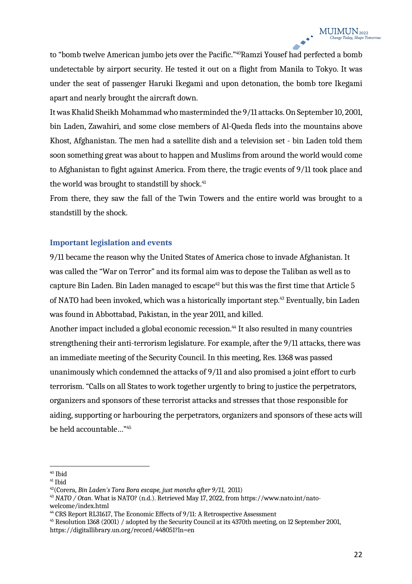to "bomb twelve American jumbo jets over the Pacific."<sup>40</sup>Ramzi Yousef had perfected a bomb undetectable by airport security. He tested it out on a flight from Manila to Tokyo. It was under the seat of passenger Haruki Ikegami and upon detonation, the bomb tore Ikegami apart and nearly brought the aircraft down.

It was Khalid Sheikh Mohammad who masterminded the 9/11 attacks. On September 10, 2001, bin Laden, Zawahiri, and some close members of Al-Qaeda fleds into the mountains above Khost, Afghanistan. The men had a satellite dish and a television set - bin Laden told them soon something great was about to happen and Muslims from around the world would come to Afghanistan to fight against America. From there, the tragic events of 9/11 took place and the world was brought to standstill by shock.<sup>41</sup>

From there, they saw the fall of the Twin Towers and the entire world was brought to a standstill by the shock.

#### **Important legislation and events**

9/11 became the reason why the United States of America chose to invade Afghanistan. It was called the "War on Terror" and its formal aim was to depose the Taliban as well as to capture Bin Laden. Bin Laden managed to escape<sup>42</sup> but this was the first time that Article 5 of NATO had been invoked, which was a historically important step.43 Eventually, bin Laden was found in Abbottabad, Pakistan, in the year 2011, and killed.

Another impact included a global economic recession.<sup>44</sup> It also resulted in many countries strengthening their anti-terrorism legislature. For example, after the 9/11 attacks, there was an immediate meeting of the Security Council. In this meeting, Res. 1368 was passed unanimously which condemned the attacks of 9/11 and also promised a joint effort to curb terrorism. "Calls on all States to work together urgently to bring to justice the perpetrators, organizers and sponsors of these terrorist attacks and stresses that those responsible for aiding, supporting or harbouring the perpetrators, organizers and sponsors of these acts will be held accountable…"45

<sup>40</sup> Ibid

<sup>41</sup> Ibid

<sup>42(</sup>Corera, *Bin Laden's Tora Bora escape, just months after 9/11,* 2011)

<sup>43</sup> *NATO / Otan*. What is NATO? (n.d.). Retrieved May 17, 2022, from https://www.nato.int/natowelcome/index.html

<sup>&</sup>lt;sup>44</sup> CRS Report RL31617. The Economic Effects of 9/11: A Retrospective Assessment

<sup>45</sup> Resolution 1368 (2001) / adopted by the Security Council at its 4370th meeting, on 12 September 2001, https://digitallibrary.un.org/record/448051?ln=en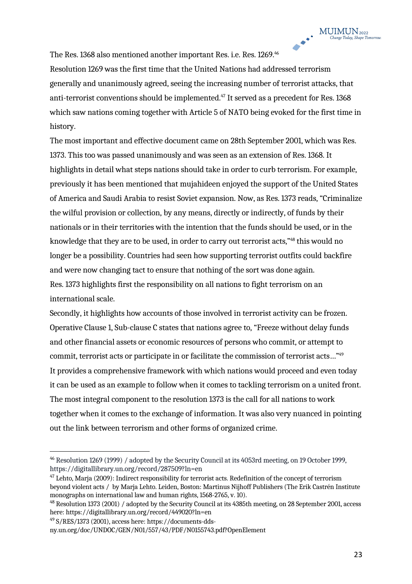The Res. 1368 also mentioned another important Res. i.e. Res. 1269.<sup>46</sup>

Resolution 1269 was the first time that the United Nations had addressed terrorism generally and unanimously agreed, seeing the increasing number of terrorist attacks, that anti-terrorist conventions should be implemented.<sup>47</sup> It served as a precedent for Res. 1368 which saw nations coming together with Article 5 of NATO being evoked for the first time in history.

The most important and effective document came on 28th September 2001, which was Res. 1373. This too was passed unanimously and was seen as an extension of Res. 1368. It highlights in detail what steps nations should take in order to curb terrorism. For example, previously it has been mentioned that mujahideen enjoyed the support of the United States of America and Saudi Arabia to resist Soviet expansion. Now, as Res. 1373 reads, "Criminalize the wilful provision or collection, by any means, directly or indirectly, of funds by their nationals or in their territories with the intention that the funds should be used, or in the knowledge that they are to be used, in order to carry out terrorist acts,"48 this would no longer be a possibility. Countries had seen how supporting terrorist outfits could backfire and were now changing tact to ensure that nothing of the sort was done again. Res. 1373 highlights first the responsibility on all nations to fight terrorism on an international scale.

Secondly, it highlights how accounts of those involved in terrorist activity can be frozen. Operative Clause 1, Sub-clause C states that nations agree to, "Freeze without delay funds and other financial assets or economic resources of persons who commit, or attempt to commit, terrorist acts or participate in or facilitate the commission of terrorist acts…"49 It provides a comprehensive framework with which nations would proceed and even today it can be used as an example to follow when it comes to tackling terrorism on a united front. The most integral component to the resolution 1373 is the call for all nations to work together when it comes to the exchange of information. It was also very nuanced in pointing out the link between terrorism and other forms of organized crime.

<sup>46</sup> Resolution 1269 (1999) / adopted by the Security Council at its 4053rd meeting, on 19 October 1999, https://digitallibrary.un.org/record/287509?ln=en

 $47$  Lehto, Marja (2009): Indirect responsibility for terrorist acts. Redefinition of the concept of terrorism beyond violent acts / by Marja Lehto. Leiden, Boston: Martinus Nijhoff Publishers (The Erik Castrén Institute monographs on international law and human rights, 1568-2765, v. 10).

<sup>&</sup>lt;sup>48</sup> Resolution 1373 (2001) / adopted by the Security Council at its 4385th meeting, on 28 September 2001, access here: https://digitallibrary.un.org/record/449020?ln=en

<sup>49</sup> S/RES/1373 (2001), access here: https://documents-dds-

ny.un.org/doc/UNDOC/GEN/N01/557/43/PDF/N0155743.pdf?OpenElement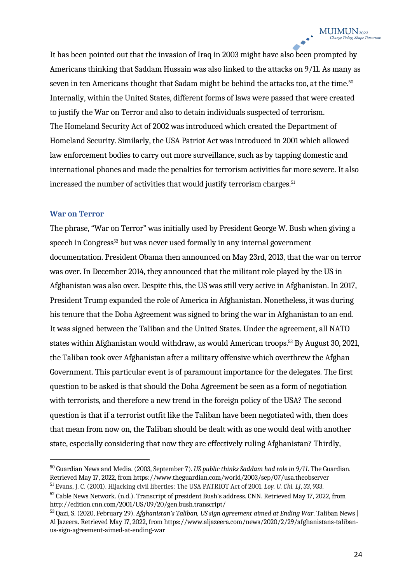It has been pointed out that the invasion of Iraq in 2003 might have also been prompted by Americans thinking that Saddam Hussain was also linked to the attacks on 9/11. As many as seven in ten Americans thought that Sadam might be behind the attacks too, at the time.<sup>50</sup> Internally, within the United States, different forms of laws were passed that were created to justify the War on Terror and also to detain individuals suspected of terrorism. The Homeland Security Act of 2002 was introduced which created the Department of Homeland Security. Similarly, the USA Patriot Act was introduced in 2001 which allowed law enforcement bodies to carry out more surveillance, such as by tapping domestic and international phones and made the penalties for terrorism activities far more severe. It also increased the number of activities that would justify terrorism charges.<sup>51</sup>

#### **War on Terror**

The phrase, "War on Terror" was initially used by President George W. Bush when giving a speech in Congress<sup>52</sup> but was never used formally in any internal government documentation. President Obama then announced on May 23rd, 2013, that the war on terror was over. In December 2014, they announced that the militant role played by the US in Afghanistan was also over. Despite this, the US was still very active in Afghanistan. In 2017, President Trump expanded the role of America in Afghanistan. Nonetheless, it was during his tenure that the Doha Agreement was signed to bring the war in Afghanistan to an end. It was signed between the Taliban and the United States. Under the agreement, all NATO states within Afghanistan would withdraw, as would American troops.<sup>53</sup> By August 30, 2021, the Taliban took over Afghanistan after a military offensive which overthrew the Afghan Government. This particular event is of paramount importance for the delegates. The first question to be asked is that should the Doha Agreement be seen as a form of negotiation with terrorists, and therefore a new trend in the foreign policy of the USA? The second question is that if a terrorist outfit like the Taliban have been negotiated with, then does that mean from now on, the Taliban should be dealt with as one would deal with another state, especially considering that now they are effectively ruling Afghanistan? Thirdly,

<sup>50</sup> Guardian News and Media. (2003, September 7). *US public thinks Saddam had role in 9/11*. The Guardian. Retrieved May 17, 2022, from https://www.theguardian.com/world/2003/sep/07/usa.theobserver <sup>51</sup> Evans, J. C. (2001). Hijacking civil liberties: The USA PATRIOT Act of 2001. *Loy. U. Chi. LJ*, *33*, 933.

<sup>&</sup>lt;sup>52</sup> Cable News Network. (n.d.). Transcript of president Bush's address. CNN. Retrieved May 17, 2022, from http://edition.cnn.com/2001/US/09/20/gen.bush.transcript/

<sup>53</sup> Qazi, S. (2020, February 29). *Afghanistan's Taliban, US sign agreement aimed at Ending War*. Taliban News | Al Jazeera. Retrieved May 17, 2022, from https://www.aljazeera.com/news/2020/2/29/afghanistans-talibanus-sign-agreement-aimed-at-ending-war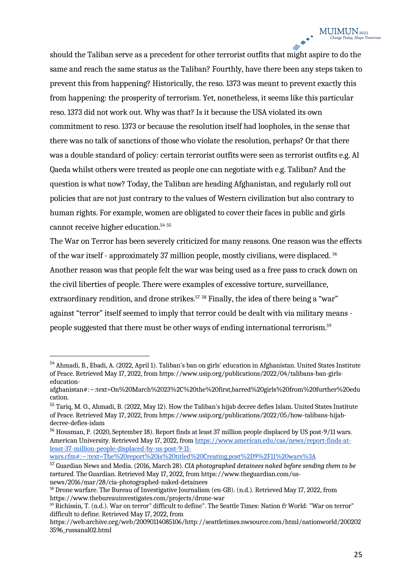should the Taliban serve as a precedent for other terrorist outfits that might aspire to do the same and reach the same status as the Taliban? Fourthly, have there been any steps taken to prevent this from happening? Historically, the reso. 1373 was meant to prevent exactly this from happening: the prosperity of terrorism. Yet, nonetheless, it seems like this particular reso. 1373 did not work out. Why was that? Is it because the USA violated its own commitment to reso. 1373 or because the resolution itself had loopholes, in the sense that there was no talk of sanctions of those who violate the resolution, perhaps? Or that there was a double standard of policy: certain terrorist outfits were seen as terrorist outfits e.g. Al Qaeda whilst others were treated as people one can negotiate with e.g. Taliban? And the question is what now? Today, the Taliban are heading Afghanistan, and regularly roll out policies that are not just contrary to the values of Western civilization but also contrary to human rights. For example, women are obligated to cover their faces in public and girls cannot receive higher education.54 <sup>55</sup>

The War on Terror has been severely criticized for many reasons. One reason was the effects of the war itself - approximately 37 million people, mostly civilians, were displaced. 56 Another reason was that people felt the war was being used as a free pass to crack down on the civil liberties of people. There were examples of excessive torture, surveillance, extraordinary rendition, and drone strikes.<sup>57</sup> 58 Finally, the idea of there being a "war" against "terror" itself seemed to imply that terror could be dealt with via military means people suggested that there must be other ways of ending international terrorism.59

wars.cfm#:~:text=The%20report%20is%20titled%20Creating,post%2D9%2F11%20wars%3A

<sup>54</sup> Ahmadi, B., Ebadi, A. (2022, April 1). Taliban's ban on girls' education in Afghanistan. United States Institute of Peace. Retrieved May 17, 2022, from https://www.usip.org/publications/2022/04/talibans-ban-girlseducation-

afghanistan#:~:text=On%20March%2023%2C%20the%20first,barred%20girls%20from%20further%20edu cation.

<sup>55</sup> Tariq, M. O., Ahmadi, B. (2022, May 12). How the Taliban's hijab decree defies Islam. United States Institute of Peace. Retrieved May 17, 2022, from https://www.usip.org/publications/2022/05/how-talibans-hijabdecree-defies-islam

<sup>56</sup> Housman, P. (2020, September 18). Report finds at least 37 million people displaced by US post-9/11 wars. American University. Retrieved May 17, 2022, from https://www.american.edu/cas/news/report-finds-atleast-37-million-people-displaced-by-us-post-9-11-

<sup>57</sup> Guardian News and Media. (2016, March 28). *CIA photographed detainees naked before sending them to be tortured*. The Guardian. Retrieved May 17, 2022, from https://www.theguardian.com/us-

 $58$  Drone warfare. The Bureau of Investigative Journalism (en-GB). (n.d.). Retrieved May 17, 2022, from https://www.thebureauinvestigates.com/projects/drone-war

<sup>59</sup> Richissin, T. (n.d.). War on terror" difficult to define". The Seattle Times: Nation & World: "War on terror" difficult to define. Retrieved May 17, 2022, from

https://web.archive.org/web/20090114085106/http://seattletimes.nwsource.com/html/nationworld/200202 3596\_russanal02.html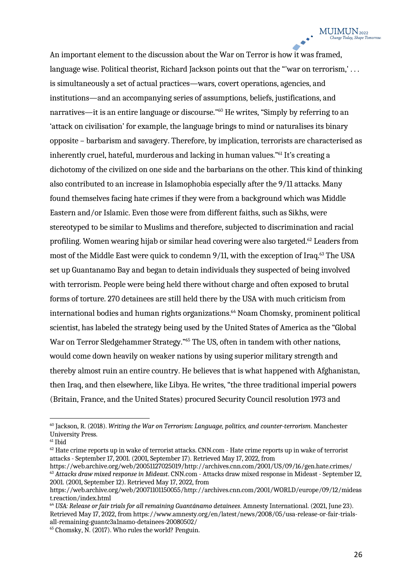An important element to the discussion about the War on Terror is how it was framed, language wise. Political theorist, Richard Jackson points out that the "'war on terrorism,'... is simultaneously a set of actual practices—wars, covert operations, agencies, and institutions—and an accompanying series of assumptions, beliefs, justifications, and narratives—it is an entire language or discourse."60 He writes, "Simply by referring to an 'attack on civilisation' for example, the language brings to mind or naturalises its binary opposite – barbarism and savagery. Therefore, by implication, terrorists are characterised as inherently cruel, hateful, murderous and lacking in human values."61 It's creating a dichotomy of the civilized on one side and the barbarians on the other. This kind of thinking also contributed to an increase in Islamophobia especially after the 9/11 attacks. Many found themselves facing hate crimes if they were from a background which was Middle Eastern and/or Islamic. Even those were from different faiths, such as Sikhs, were stereotyped to be similar to Muslims and therefore, subjected to discrimination and racial profiling. Women wearing hijab or similar head covering were also targeted.62 Leaders from most of the Middle East were quick to condemn 9/11, with the exception of Iraq.<sup>63</sup> The USA set up Guantanamo Bay and began to detain individuals they suspected of being involved with terrorism. People were being held there without charge and often exposed to brutal forms of torture. 270 detainees are still held there by the USA with much criticism from international bodies and human rights organizations.<sup>64</sup> Noam Chomsky, prominent political scientist, has labeled the strategy being used by the United States of America as the "Global War on Terror Sledgehammer Strategy."<sup>65</sup> The US, often in tandem with other nations, would come down heavily on weaker nations by using superior military strength and thereby almost ruin an entire country. He believes that is what happened with Afghanistan, then Iraq, and then elsewhere, like Libya. He writes, "the three traditional imperial powers (Britain, France, and the United States) procured Security Council resolution 1973 and

<sup>60</sup> Jackson, R. (2018). *Writing the War on Terrorism: Language, politics, and counter-terrorism*. Manchester University Press.

 $61$  Ibid

 $62$  Hate crime reports up in wake of terrorist attacks. CNN.com - Hate crime reports up in wake of terrorist attacks - September 17, 2001. (2001, September 17). Retrieved May 17, 2022, from

https://web.archive.org/web/20051127025019/http://archives.cnn.com/2001/US/09/16/gen.hate.crimes/ <sup>63</sup> *Attacks draw mixed response in Mideast*. CNN.com - Attacks draw mixed response in Mideast - September 12, 2001. (2001, September 12). Retrieved May 17, 2022, from

https://web.archive.org/web/20071101150055/http://archives.cnn.com/2001/WORLD/europe/09/12/mideas t.reaction/index.html

<sup>64</sup> *USA: Release or fair trials for all remaining Guantánamo detainees*. Amnesty International. (2021, June 23). Retrieved May 17, 2022, from https://www.amnesty.org/en/latest/news/2008/05/usa-release-or-fair-trials-<br>all-remaining-guantc3a1namo-detainees-20080502/

 $45$  Chomsky, N. (2017). Who rules the world? Penguin.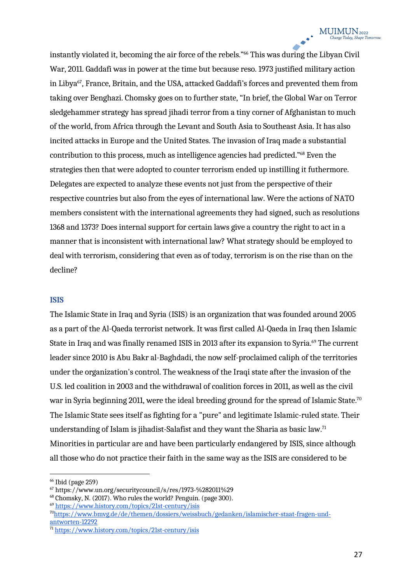instantly violated it, becoming the air force of the rebels."<sup>66</sup> This was during the Libyan Civil War, 2011. Gaddafi was in power at the time but because reso. 1973 justified military action in Libya<sup>67</sup>, France, Britain, and the USA, attacked Gaddafi's forces and prevented them from taking over Benghazi. Chomsky goes on to further state, "In brief, the Global War on Terror sledgehammer strategy has spread jihadi terror from a tiny corner of Afghanistan to much of the world, from Africa through the Levant and South Asia to Southeast Asia. It has also incited attacks in Europe and the United States. The invasion of Iraq made a substantial contribution to this process, much as intelligence agencies had predicted."68 Even the strategies then that were adopted to counter terrorism ended up instilling it futhermore. Delegates are expected to analyze these events not just from the perspective of their respective countries but also from the eyes of international law. Were the actions of NATO members consistent with the international agreements they had signed, such as resolutions 1368 and 1373? Does internal support for certain laws give a country the right to act in a manner that is inconsistent with international law? What strategy should be employed to deal with terrorism, considering that even as of today, terrorism is on the rise than on the decline?

#### **ISIS**

The Islamic State in Iraq and Syria (ISIS) is an organization that was founded around 2005 as a part of the Al-Qaeda terrorist network. It was first called Al-Qaeda in Iraq then Islamic State in Iraq and was finally renamed ISIS in 2013 after its expansion to Syria.<sup>69</sup> The current leader since 2010 is Abu Bakr al-Baghdadi, the now self-proclaimed caliph of the territories under the organization's control. The weakness of the Iraqi state after the invasion of the U.S. led coalition in 2003 and the withdrawal of coalition forces in 2011, as well as the civil war in Syria beginning 2011, were the ideal breeding ground for the spread of Islamic State.<sup>70</sup> The Islamic State sees itself as fighting for a "pure" and legitimate Islamic-ruled state. Their understanding of Islam is jihadist-Salafist and they want the Sharia as basic law.<sup>71</sup> Minorities in particular are and have been particularly endangered by ISIS, since although all those who do not practice their faith in the same way as the ISIS are considered to be

 $66$  Ibid (page 259)

<sup>67</sup> https://www.un.org/securitycouncil/s/res/1973-%282011%29

<sup>68</sup> Chomsky, N. (2017). Who rules the world? Penguin. (page 300).

<sup>69</sup> https://www.history.com/topics/21st-century/isis

<sup>70</sup>https://www.bmvg.de/de/themen/dossiers/weissbuch/gedanken/islamischer-staat-fragen-undantworten-12292

<sup>71</sup> https://www.history.com/topics/21st-century/isis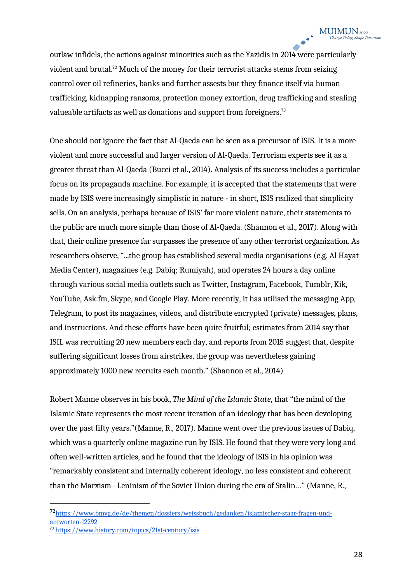outlaw infidels, the actions against minorities such as the Yazidis in 2014 were particularly violent and brutal.<sup>72</sup> Much of the money for their terrorist attacks stems from seizing control over oil refineries, banks and further assests but they finance itself via human trafficking, kidnapping ransoms, protection money extortion, drug trafficking and stealing valueable artifacts as well as donations and support from foreigners.<sup>73</sup>

One should not ignore the fact that Al-Qaeda can be seen as a precursor of ISIS. It is a more violent and more successful and larger version of Al-Qaeda. Terrorism experts see it as a greater threat than Al-Qaeda (Bucci et al., 2014). Analysis of its success includes a particular focus on its propaganda machine. For example, it is accepted that the statements that were made by ISIS were increasingly simplistic in nature - in short, ISIS realized that simplicity sells. On an analysis, perhaps because of ISIS' far more violent nature, their statements to the public are much more simple than those of Al-Qaeda. (Shannon et al., 2017). Along with that, their online presence far surpasses the presence of any other terrorist organization. As researchers observe, "...the group has established several media organisations (e.g. Al Hayat Media Center), magazines (e.g. Dabiq; Rumiyah), and operates 24 hours a day online through various social media outlets such as Twitter, Instagram, Facebook, Tumblr, Kik, YouTube, Ask.fm, Skype, and Google Play. More recently, it has utilised the messaging App, Telegram, to post its magazines, videos, and distribute encrypted (private) messages, plans, and instructions. And these efforts have been quite fruitful; estimates from 2014 say that ISIL was recruiting 20 new members each day, and reports from 2015 suggest that, despite suffering significant losses from airstrikes, the group was nevertheless gaining approximately 1000 new recruits each month." (Shannon et al., 2014)

Robert Manne observes in his book, *The Mind of the Islamic State*, that "the mind of the Islamic State represents the most recent iteration of an ideology that has been developing over the past fifty years."(Manne, R., 2017). Manne went over the previous issues of Dabiq, which was a quarterly online magazine run by ISIS. He found that they were very long and often well-written articles, and he found that the ideology of ISIS in his opinion was "remarkably consistent and internally coherent ideology, no less consistent and coherent than the Marxism– Leninism of the Soviet Union during the era of Stalin…" (Manne, R.,

<sup>72</sup>https://www.bmvg.de/de/themen/dossiers/weissbuch/gedanken/islamischer-staat-fragen-undantworten-12292

<sup>73</sup> https://www.history.com/topics/21st-century/isis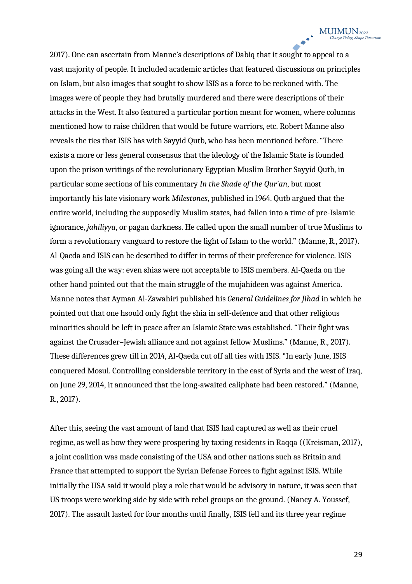2017). One can ascertain from Manne's descriptions of Dabiq that it sought to appeal to a vast majority of people. It included academic articles that featured discussions on principles on Islam, but also images that sought to show ISIS as a force to be reckoned with. The images were of people they had brutally murdered and there were descriptions of their attacks in the West. It also featured a particular portion meant for women, where columns mentioned how to raise children that would be future warriors, etc. Robert Manne also reveals the ties that ISIS has with Sayyid Qutb, who has been mentioned before. "There exists a more or less general consensus that the ideology of the Islamic State is founded upon the prison writings of the revolutionary Egyptian Muslim Brother Sayyid Qutb, in particular some sections of his commentary *In the Shade of the Qur'an*, but most importantly his late visionary work *Milestones*, published in 1964. Qutb argued that the entire world, including the supposedly Muslim states, had fallen into a time of pre-Islamic ignorance, *jahiliyya*, or pagan darkness. He called upon the small number of true Muslims to form a revolutionary vanguard to restore the light of Islam to the world." (Manne, R., 2017). Al-Qaeda and ISIS can be described to differ in terms of their preference for violence. ISIS was going all the way: even shias were not acceptable to ISIS members. Al-Qaeda on the other hand pointed out that the main struggle of the mujahideen was against America. Manne notes that Ayman Al-Zawahiri published his *General Guidelines for Jihad* in which he pointed out that one hsould only fight the shia in self-defence and that other religious minorities should be left in peace after an Islamic State was established. "Their fight was against the Crusader–Jewish alliance and not against fellow Muslims." (Manne, R., 2017). These differences grew till in 2014, Al-Qaeda cut off all ties with ISIS. "In early June, ISIS conquered Mosul. Controlling considerable territory in the east of Syria and the west of Iraq, on June 29, 2014, it announced that the long-awaited caliphate had been restored." (Manne, R., 2017).

After this, seeing the vast amount of land that ISIS had captured as well as their cruel regime, as well as how they were prospering by taxing residents in Raqqa ((Kreisman, 2017), a joint coalition was made consisting of the USA and other nations such as Britain and France that attempted to support the Syrian Defense Forces to fight against ISIS. While initially the USA said it would play a role that would be advisory in nature, it was seen that US troops were working side by side with rebel groups on the ground. (Nancy A. Youssef, 2017). The assault lasted for four months until finally, ISIS fell and its three year regime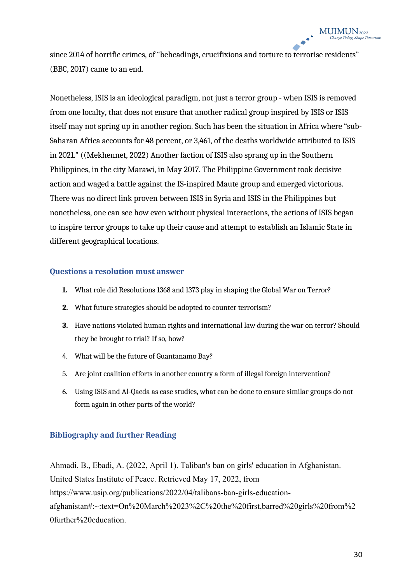since 2014 of horrific crimes, of "beheadings, crucifixions and torture to terrorise residents" (BBC, 2017) came to an end.

Nonetheless, ISIS is an ideological paradigm, not just a terror group - when ISIS is removed from one localty, that does not ensure that another radical group inspired by ISIS or ISIS itself may not spring up in another region. Such has been the situation in Africa where "sub-Saharan Africa accounts for 48 percent, or 3,461, of the deaths worldwide attributed to ISIS in 2021." ((Mekhennet, 2022) Another faction of ISIS also sprang up in the Southern Philippines, in the city Marawi, in May 2017. The Philippine Government took decisive action and waged a battle against the IS-inspired Maute group and emerged victorious. There was no direct link proven between ISIS in Syria and ISIS in the Philippines but nonetheless, one can see how even without physical interactions, the actions of ISIS began to inspire terror groups to take up their cause and attempt to establish an Islamic State in different geographical locations.

#### **Questions a resolution must answer**

- **1.** What role did Resolutions 1368 and 1373 play in shaping the Global War on Terror?
- **2.** What future strategies should be adopted to counter terrorism?
- **3.** Have nations violated human rights and international law during the war on terror? Should they be brought to trial? If so, how?
- 4. What will be the future of Guantanamo Bay?
- 5. Are joint coalition efforts in another country a form of illegal foreign intervention?
- 6. Using ISIS and Al-Qaeda as case studies, what can be done to ensure similar groups do not form again in other parts of the world?

#### **Bibliography and further Reading**

Ahmadi, B., Ebadi, A. (2022, April 1). Taliban's ban on girls' education in Afghanistan. United States Institute of Peace. Retrieved May 17, 2022, from https://www.usip.org/publications/2022/04/talibans-ban-girls-educationafghanistan#:~:text=On%20March%2023%2C%20the%20first,barred%20girls%20from%2 0further%20education.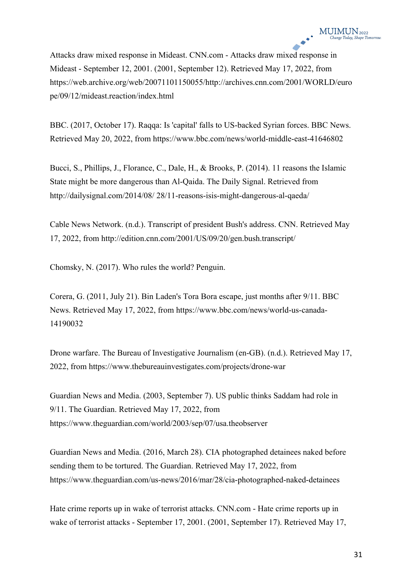Attacks draw mixed response in Mideast. CNN.com - Attacks draw mixed response in Mideast - September 12, 2001. (2001, September 12). Retrieved May 17, 2022, from https://web.archive.org/web/20071101150055/http://archives.cnn.com/2001/WORLD/euro pe/09/12/mideast.reaction/index.html

BBC. (2017, October 17). Raqqa: Is 'capital' falls to US-backed Syrian forces. BBC News. Retrieved May 20, 2022, from https://www.bbc.com/news/world-middle-east-41646802

Bucci, S., Phillips, J., Florance, C., Dale, H., & Brooks, P. (2014). 11 reasons the Islamic State might be more dangerous than Al-Qaida. The Daily Signal. Retrieved from http://dailysignal.com/2014/08/ 28/11-reasons-isis-might-dangerous-al-qaeda/

Cable News Network. (n.d.). Transcript of president Bush's address. CNN. Retrieved May 17, 2022, from http://edition.cnn.com/2001/US/09/20/gen.bush.transcript/

Chomsky, N. (2017). Who rules the world? Penguin.

Corera, G. (2011, July 21). Bin Laden's Tora Bora escape, just months after 9/11. BBC News. Retrieved May 17, 2022, from https://www.bbc.com/news/world-us-canada-14190032

Drone warfare. The Bureau of Investigative Journalism (en-GB). (n.d.). Retrieved May 17, 2022, from https://www.thebureauinvestigates.com/projects/drone-war

Guardian News and Media. (2003, September 7). US public thinks Saddam had role in 9/11. The Guardian. Retrieved May 17, 2022, from https://www.theguardian.com/world/2003/sep/07/usa.theobserver

Guardian News and Media. (2016, March 28). CIA photographed detainees naked before sending them to be tortured. The Guardian. Retrieved May 17, 2022, from https://www.theguardian.com/us-news/2016/mar/28/cia-photographed-naked-detainees

Hate crime reports up in wake of terrorist attacks. CNN.com - Hate crime reports up in wake of terrorist attacks - September 17, 2001. (2001, September 17). Retrieved May 17,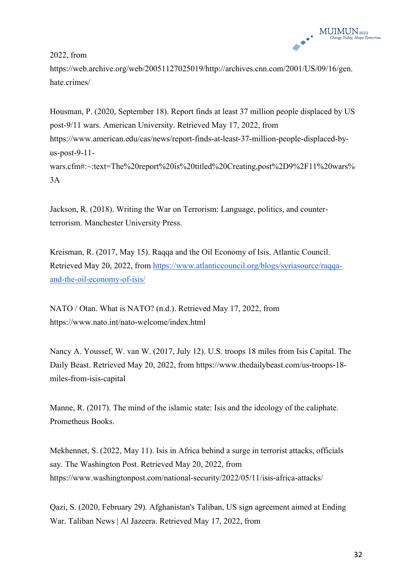

2022, from

https://web.archive.org/web/20051127025019/http://archives.cnn.com/2001/US/09/16/gen. hate.crimes/

Housman, P. (2020, September 18). Report finds at least 37 million people displaced by US post-9/11 wars. American University. Retrieved May 17, 2022, from https://www.american.edu/cas/news/report-finds-at-least-37-million-people-displaced-byus-post-9-11 wars.cfm#:~:text=The%20report%20is%20titled%20Creating,post%2D9%2F11%20wars% 3A

Jackson, R. (2018). Writing the War on Terrorism: Language, politics, and counterterrorism. Manchester University Press.

Kreisman, R. (2017, May 15). Raqqa and the Oil Economy of Isis. Atlantic Council. Retrieved May 20, 2022, from https://www.atlanticcouncil.org/blogs/syriasource/raqqaand-the-oil-economy-of-isis/

NATO / Otan. What is NATO? (n.d.). Retrieved May 17, 2022, from https://www.nato.int/nato-welcome/index.html

Nancy A. Youssef, W. van W. (2017, July 12). U.S. troops 18 miles from Isis Capital. The Daily Beast. Retrieved May 20, 2022, from https://www.thedailybeast.com/us-troops-18 miles-from-isis-capital

Manne, R. (2017). The mind of the islamic state: Isis and the ideology of the caliphate. Prometheus Books.

Mekhennet, S. (2022, May 11). Isis in Africa behind a surge in terrorist attacks, officials say. The Washington Post. Retrieved May 20, 2022, from https://www.washingtonpost.com/national-security/2022/05/11/isis-africa-attacks/

Qazi, S. (2020, February 29). Afghanistan's Taliban, US sign agreement aimed at Ending War. Taliban News | Al Jazeera. Retrieved May 17, 2022, from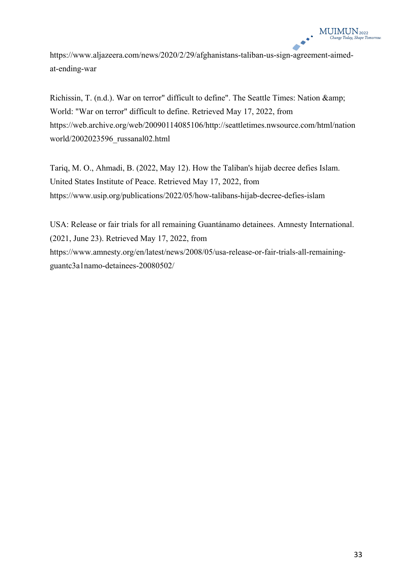https://www.aljazeera.com/news/2020/2/29/afghanistans-taliban-us-sign-agreement-aimedat-ending-war

Richissin, T. (n.d.). War on terror" difficult to define". The Seattle Times: Nation & amp; World: "War on terror" difficult to define. Retrieved May 17, 2022, from https://web.archive.org/web/20090114085106/http://seattletimes.nwsource.com/html/nation world/2002023596\_russanal02.html

Tariq, M. O., Ahmadi, B. (2022, May 12). How the Taliban's hijab decree defies Islam. United States Institute of Peace. Retrieved May 17, 2022, from https://www.usip.org/publications/2022/05/how-talibans-hijab-decree-defies-islam

USA: Release or fair trials for all remaining Guantánamo detainees. Amnesty International. (2021, June 23). Retrieved May 17, 2022, from https://www.amnesty.org/en/latest/news/2008/05/usa-release-or-fair-trials-all-remainingguantc3a1namo-detainees-20080502/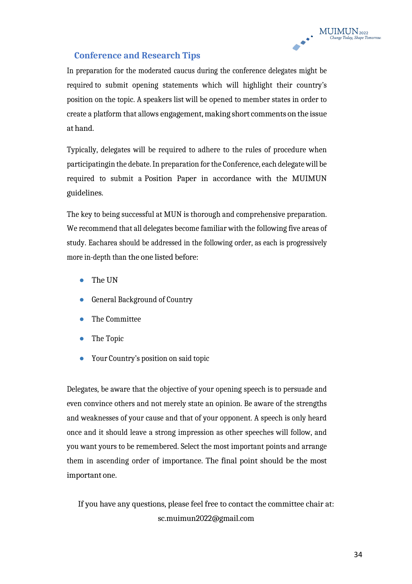### **Conference and Research Tips**

In preparation for the moderated caucus during the conference delegates might be required to submit opening statements which will highlight their country's position on the topic. A speakers list will be opened to member states in order to create a platform that allows engagement, making short comments on the issue at hand.

Typically, delegates will be required to adhere to the rules of procedure when participatingin the debate.In preparation forthe Conference, each delegate will be required to submit a Position Paper in accordance with the MUIMUN guidelines.

The key to being successful at MUN is thorough and comprehensive preparation. We recommend that all delegates become familiar with the following five areas of study. Eacharea should be addressed in the following order, as each is progressively more in-depth than the one listed before:

- The UN
- General Background of Country
- The Committee
- The Topic
- Your Country's position on said topic

Delegates, be aware that the objective of your opening speech is to persuade and even convince others and not merely state an opinion. Be aware of the strengths and weaknesses of your cause and that of your opponent. A speech is only heard once and it should leave a strong impression as other speeches will follow, and you want yours to be remembered. Select the most important points and arrange them in ascending order of importance. The final point should be the most important one.

If you have any questions, please feel free to contact the committee chair at: sc.muimun2022@gmail.com